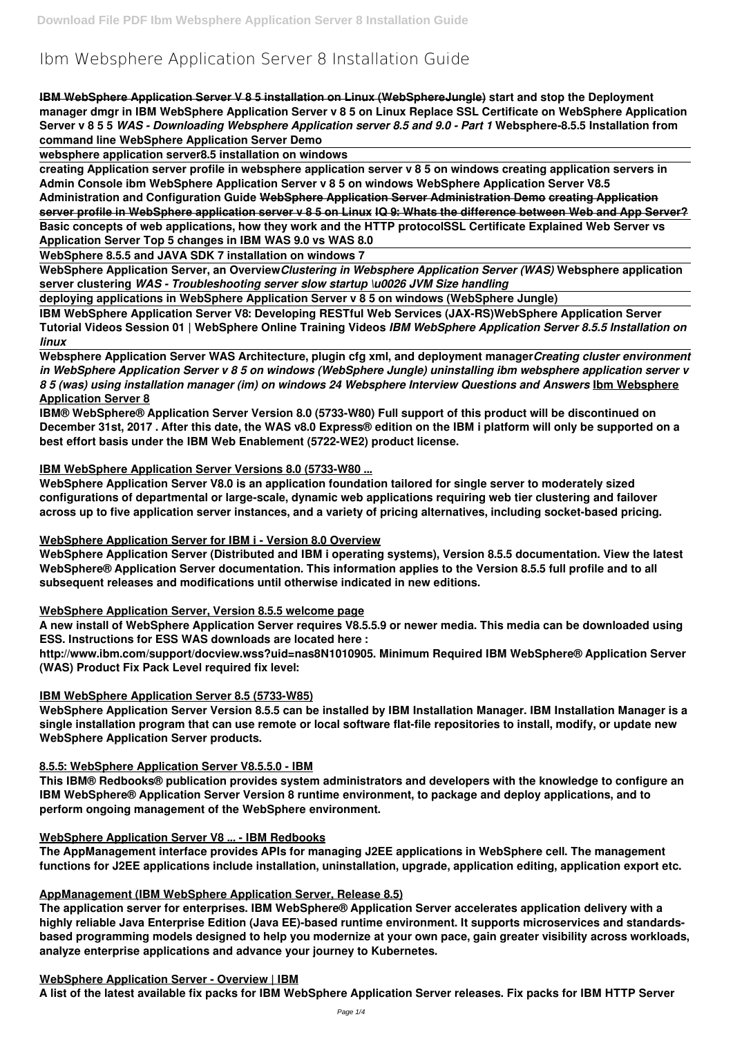# **Ibm Websphere Application Server 8 Installation Guide**

**IBM WebSphere Application Server V 8 5 installation on Linux (WebSphereJungle) start and stop the Deployment manager dmgr in IBM WebSphere Application Server v 8 5 on Linux Replace SSL Certificate on WebSphere Application Server v 8 5 5** *WAS - Downloading Websphere Application server 8.5 and 9.0 - Part 1* **Websphere-8.5.5 Installation from command line WebSphere Application Server Demo**

**websphere application server8.5 installation on windows**

**creating Application server profile in websphere application server v 8 5 on windows creating application servers in Admin Console ibm WebSphere Application Server v 8 5 on windows WebSphere Application Server V8.5 Administration and Configuration Guide WebSphere Application Server Administration Demo creating Application server profile in WebSphere application server v 8 5 on Linux IQ 9: Whats the difference between Web and App Server?**

**Basic concepts of web applications, how they work and the HTTP protocolSSL Certificate Explained Web Server vs Application Server Top 5 changes in IBM WAS 9.0 vs WAS 8.0**

**WebSphere 8.5.5 and JAVA SDK 7 installation on windows 7**

**WebSphere Application Server, an Overview***Clustering in Websphere Application Server (WAS)* **Websphere application server clustering** *WAS - Troubleshooting server slow startup \u0026 JVM Size handling*

**deploying applications in WebSphere Application Server v 8 5 on windows (WebSphere Jungle)**

**IBM WebSphere Application Server V8: Developing RESTful Web Services (JAX-RS)WebSphere Application Server Tutorial Videos Session 01 | WebSphere Online Training Videos** *IBM WebSphere Application Server 8.5.5 Installation on linux*

**Websphere Application Server WAS Architecture, plugin cfg xml, and deployment manager***Creating cluster environment in WebSphere Application Server v 8 5 on windows (WebSphere Jungle) uninstalling ibm websphere application server v 8 5 (was) using installation manager (im) on windows 24 Websphere Interview Questions and Answers* **Ibm Websphere Application Server 8**

**IBM® WebSphere® Application Server Version 8.0 (5733-W80) Full support of this product will be discontinued on December 31st, 2017 . After this date, the WAS v8.0 Express® edition on the IBM i platform will only be supported on a best effort basis under the IBM Web Enablement (5722-WE2) product license.**

#### **IBM WebSphere Application Server Versions 8.0 (5733-W80 ...**

**WebSphere Application Server V8.0 is an application foundation tailored for single server to moderately sized configurations of departmental or large-scale, dynamic web applications requiring web tier clustering and failover across up to five application server instances, and a variety of pricing alternatives, including socket-based pricing.**

#### **WebSphere Application Server for IBM i - Version 8.0 Overview**

**WebSphere Application Server (Distributed and IBM i operating systems), Version 8.5.5 documentation. View the latest WebSphere® Application Server documentation. This information applies to the Version 8.5.5 full profile and to all subsequent releases and modifications until otherwise indicated in new editions.**

#### **WebSphere Application Server, Version 8.5.5 welcome page**

**A new install of WebSphere Application Server requires V8.5.5.9 or newer media. This media can be downloaded using ESS. Instructions for ESS WAS downloads are located here :**

**http://www.ibm.com/support/docview.wss?uid=nas8N1010905. Minimum Required IBM WebSphere® Application Server (WAS) Product Fix Pack Level required fix level:**

#### **IBM WebSphere Application Server 8.5 (5733-W85)**

**WebSphere Application Server Version 8.5.5 can be installed by IBM Installation Manager. IBM Installation Manager is a single installation program that can use remote or local software flat-file repositories to install, modify, or update new WebSphere Application Server products.**

#### **8.5.5: WebSphere Application Server V8.5.5.0 - IBM**

**This IBM® Redbooks® publication provides system administrators and developers with the knowledge to configure an**

**IBM WebSphere® Application Server Version 8 runtime environment, to package and deploy applications, and to perform ongoing management of the WebSphere environment.**

#### **WebSphere Application Server V8 ... - IBM Redbooks**

**The AppManagement interface provides APIs for managing J2EE applications in WebSphere cell. The management functions for J2EE applications include installation, uninstallation, upgrade, application editing, application export etc.**

#### **AppManagement (IBM WebSphere Application Server, Release 8.5)**

**The application server for enterprises. IBM WebSphere® Application Server accelerates application delivery with a highly reliable Java Enterprise Edition (Java EE)-based runtime environment. It supports microservices and standardsbased programming models designed to help you modernize at your own pace, gain greater visibility across workloads, analyze enterprise applications and advance your journey to Kubernetes.**

#### **WebSphere Application Server - Overview | IBM**

**A list of the latest available fix packs for IBM WebSphere Application Server releases. Fix packs for IBM HTTP Server**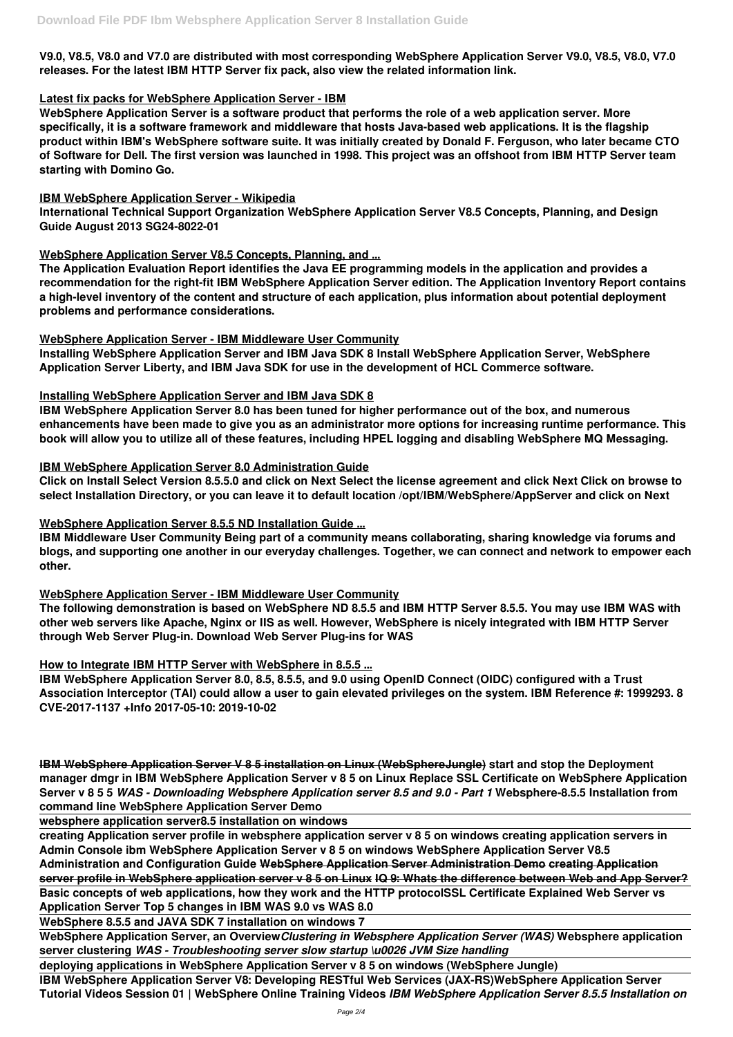**V9.0, V8.5, V8.0 and V7.0 are distributed with most corresponding WebSphere Application Server V9.0, V8.5, V8.0, V7.0 releases. For the latest IBM HTTP Server fix pack, also view the related information link.**

### **Latest fix packs for WebSphere Application Server - IBM**

**WebSphere Application Server is a software product that performs the role of a web application server. More specifically, it is a software framework and middleware that hosts Java-based web applications. It is the flagship product within IBM's WebSphere software suite. It was initially created by Donald F. Ferguson, who later became CTO of Software for Dell. The first version was launched in 1998. This project was an offshoot from IBM HTTP Server team starting with Domino Go.**

## **IBM WebSphere Application Server - Wikipedia**

**International Technical Support Organization WebSphere Application Server V8.5 Concepts, Planning, and Design Guide August 2013 SG24-8022-01**

# **WebSphere Application Server V8.5 Concepts, Planning, and ...**

**The Application Evaluation Report identifies the Java EE programming models in the application and provides a recommendation for the right-fit IBM WebSphere Application Server edition. The Application Inventory Report contains a high-level inventory of the content and structure of each application, plus information about potential deployment problems and performance considerations.**

## **WebSphere Application Server - IBM Middleware User Community**

**Installing WebSphere Application Server and IBM Java SDK 8 Install WebSphere Application Server, WebSphere Application Server Liberty, and IBM Java SDK for use in the development of HCL Commerce software.**

## **Installing WebSphere Application Server and IBM Java SDK 8**

**IBM WebSphere Application Server 8.0 has been tuned for higher performance out of the box, and numerous enhancements have been made to give you as an administrator more options for increasing runtime performance. This book will allow you to utilize all of these features, including HPEL logging and disabling WebSphere MQ Messaging.**

# **IBM WebSphere Application Server 8.0 Administration Guide**

**Click on Install Select Version 8.5.5.0 and click on Next Select the license agreement and click Next Click on browse to select Installation Directory, or you can leave it to default location /opt/IBM/WebSphere/AppServer and click on Next**

# **WebSphere Application Server 8.5.5 ND Installation Guide ...**

**IBM Middleware User Community Being part of a community means collaborating, sharing knowledge via forums and blogs, and supporting one another in our everyday challenges. Together, we can connect and network to empower each other.**

#### **WebSphere Application Server - IBM Middleware User Community**

**The following demonstration is based on WebSphere ND 8.5.5 and IBM HTTP Server 8.5.5. You may use IBM WAS with other web servers like Apache, Nginx or IIS as well. However, WebSphere is nicely integrated with IBM HTTP Server through Web Server Plug-in. Download Web Server Plug-ins for WAS**

# **How to Integrate IBM HTTP Server with WebSphere in 8.5.5 ...**

**IBM WebSphere Application Server 8.0, 8.5, 8.5.5, and 9.0 using OpenID Connect (OIDC) configured with a Trust Association Interceptor (TAI) could allow a user to gain elevated privileges on the system. IBM Reference #: 1999293. 8 CVE-2017-1137 +Info 2017-05-10: 2019-10-02**

**IBM WebSphere Application Server V 8 5 installation on Linux (WebSphereJungle) start and stop the Deployment manager dmgr in IBM WebSphere Application Server v 8 5 on Linux Replace SSL Certificate on WebSphere Application Server v 8 5 5** *WAS - Downloading Websphere Application server 8.5 and 9.0 - Part 1* **Websphere-8.5.5 Installation from command line WebSphere Application Server Demo**

**websphere application server8.5 installation on windows**

**creating Application server profile in websphere application server v 8 5 on windows creating application servers in Admin Console ibm WebSphere Application Server v 8 5 on windows WebSphere Application Server V8.5**

**Administration and Configuration Guide WebSphere Application Server Administration Demo creating Application server profile in WebSphere application server v 8 5 on Linux IQ 9: Whats the difference between Web and App Server?**

**Basic concepts of web applications, how they work and the HTTP protocolSSL Certificate Explained Web Server vs Application Server Top 5 changes in IBM WAS 9.0 vs WAS 8.0**

**WebSphere 8.5.5 and JAVA SDK 7 installation on windows 7**

**WebSphere Application Server, an Overview***Clustering in Websphere Application Server (WAS)* **Websphere application**

**server clustering** *WAS - Troubleshooting server slow startup \u0026 JVM Size handling*

**deploying applications in WebSphere Application Server v 8 5 on windows (WebSphere Jungle)**

**IBM WebSphere Application Server V8: Developing RESTful Web Services (JAX-RS)WebSphere Application Server Tutorial Videos Session 01 | WebSphere Online Training Videos** *IBM WebSphere Application Server 8.5.5 Installation on*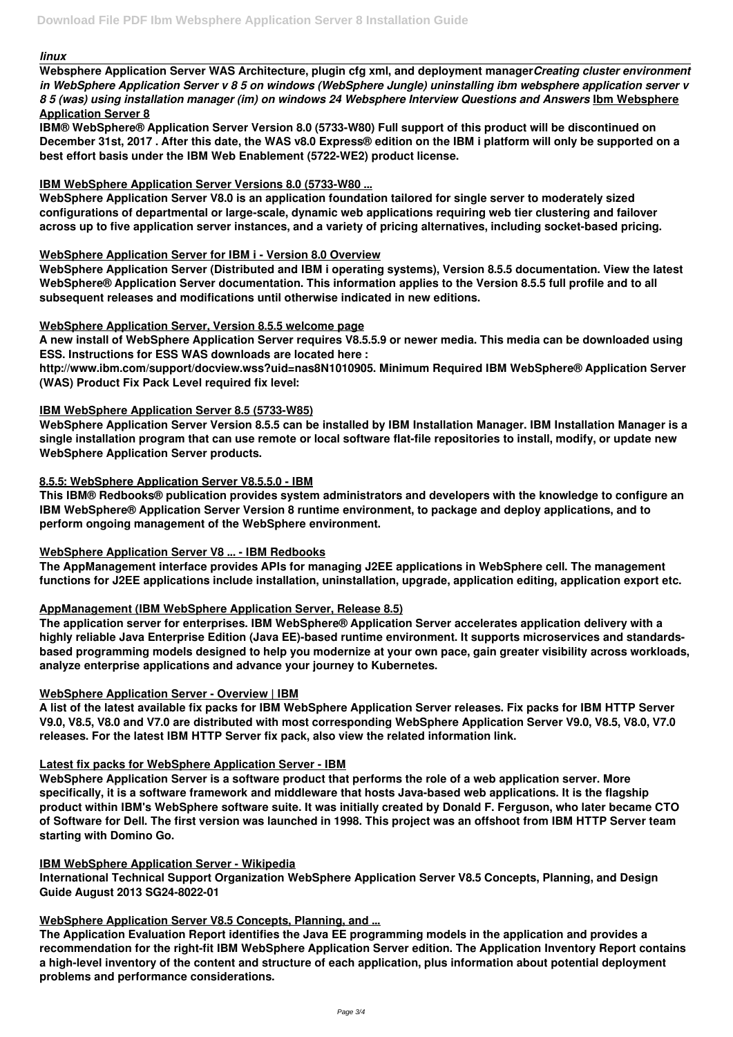#### *linux*

**Websphere Application Server WAS Architecture, plugin cfg xml, and deployment manager***Creating cluster environment in WebSphere Application Server v 8 5 on windows (WebSphere Jungle) uninstalling ibm websphere application server v 8 5 (was) using installation manager (im) on windows 24 Websphere Interview Questions and Answers* **Ibm Websphere Application Server 8**

**IBM® WebSphere® Application Server Version 8.0 (5733-W80) Full support of this product will be discontinued on December 31st, 2017 . After this date, the WAS v8.0 Express® edition on the IBM i platform will only be supported on a best effort basis under the IBM Web Enablement (5722-WE2) product license.**

## **IBM WebSphere Application Server Versions 8.0 (5733-W80 ...**

**WebSphere Application Server V8.0 is an application foundation tailored for single server to moderately sized configurations of departmental or large-scale, dynamic web applications requiring web tier clustering and failover across up to five application server instances, and a variety of pricing alternatives, including socket-based pricing.**

## **WebSphere Application Server for IBM i - Version 8.0 Overview**

**WebSphere Application Server (Distributed and IBM i operating systems), Version 8.5.5 documentation. View the latest WebSphere® Application Server documentation. This information applies to the Version 8.5.5 full profile and to all subsequent releases and modifications until otherwise indicated in new editions.**

## **WebSphere Application Server, Version 8.5.5 welcome page**

**A new install of WebSphere Application Server requires V8.5.5.9 or newer media. This media can be downloaded using ESS. Instructions for ESS WAS downloads are located here :**

**http://www.ibm.com/support/docview.wss?uid=nas8N1010905. Minimum Required IBM WebSphere® Application Server (WAS) Product Fix Pack Level required fix level:**

# **IBM WebSphere Application Server 8.5 (5733-W85)**

**WebSphere Application Server Version 8.5.5 can be installed by IBM Installation Manager. IBM Installation Manager is a single installation program that can use remote or local software flat-file repositories to install, modify, or update new WebSphere Application Server products.**

#### **8.5.5: WebSphere Application Server V8.5.5.0 - IBM**

**This IBM® Redbooks® publication provides system administrators and developers with the knowledge to configure an IBM WebSphere® Application Server Version 8 runtime environment, to package and deploy applications, and to perform ongoing management of the WebSphere environment.**

#### **WebSphere Application Server V8 ... - IBM Redbooks**

**The AppManagement interface provides APIs for managing J2EE applications in WebSphere cell. The management functions for J2EE applications include installation, uninstallation, upgrade, application editing, application export etc.**

# **AppManagement (IBM WebSphere Application Server, Release 8.5)**

**The application server for enterprises. IBM WebSphere® Application Server accelerates application delivery with a highly reliable Java Enterprise Edition (Java EE)-based runtime environment. It supports microservices and standardsbased programming models designed to help you modernize at your own pace, gain greater visibility across workloads, analyze enterprise applications and advance your journey to Kubernetes.**

# **WebSphere Application Server - Overview | IBM**

**A list of the latest available fix packs for IBM WebSphere Application Server releases. Fix packs for IBM HTTP Server V9.0, V8.5, V8.0 and V7.0 are distributed with most corresponding WebSphere Application Server V9.0, V8.5, V8.0, V7.0 releases. For the latest IBM HTTP Server fix pack, also view the related information link.**

# **Latest fix packs for WebSphere Application Server - IBM**

**WebSphere Application Server is a software product that performs the role of a web application server. More**

**specifically, it is a software framework and middleware that hosts Java-based web applications. It is the flagship product within IBM's WebSphere software suite. It was initially created by Donald F. Ferguson, who later became CTO of Software for Dell. The first version was launched in 1998. This project was an offshoot from IBM HTTP Server team starting with Domino Go.**

### **IBM WebSphere Application Server - Wikipedia**

**International Technical Support Organization WebSphere Application Server V8.5 Concepts, Planning, and Design Guide August 2013 SG24-8022-01**

### **WebSphere Application Server V8.5 Concepts, Planning, and ...**

**The Application Evaluation Report identifies the Java EE programming models in the application and provides a recommendation for the right-fit IBM WebSphere Application Server edition. The Application Inventory Report contains a high-level inventory of the content and structure of each application, plus information about potential deployment problems and performance considerations.**